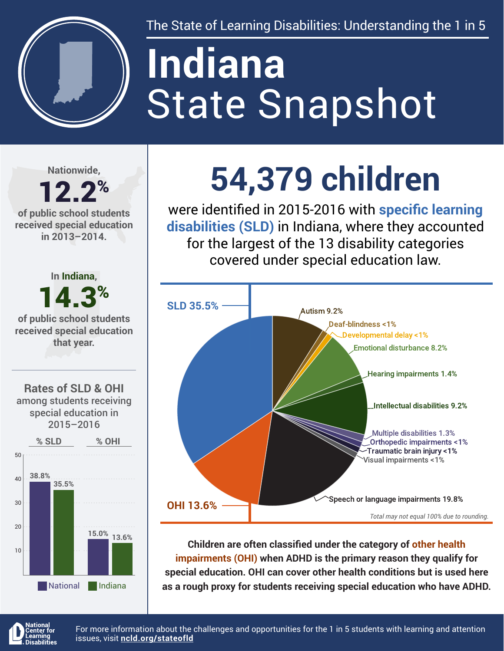

The State of Learning Disabilities: Understanding the 1 in 5

# State Snapshot **Indiana**

**Nationwide,**

#### 12.2% **of public school students received special education in 2013–2014.**



## **54,379 children**

were identified in 2015-2016 with **specific learning disabilities (SLD)** in Indiana, where they accounted for the largest of the 13 disability categories covered under special education law.



**Children are often classified under the category of other health impairments (OHI) when ADHD is the primary reason they qualify for special education. OHI can cover other health conditions but is used here as a rough proxy for students receiving special education who have ADHD.**



For more information about the challenges and opportunities for the 1 in 5 students with learning and attention issues, visit **[ncld.org/stateofld](http://ncld.org/stateofld)**